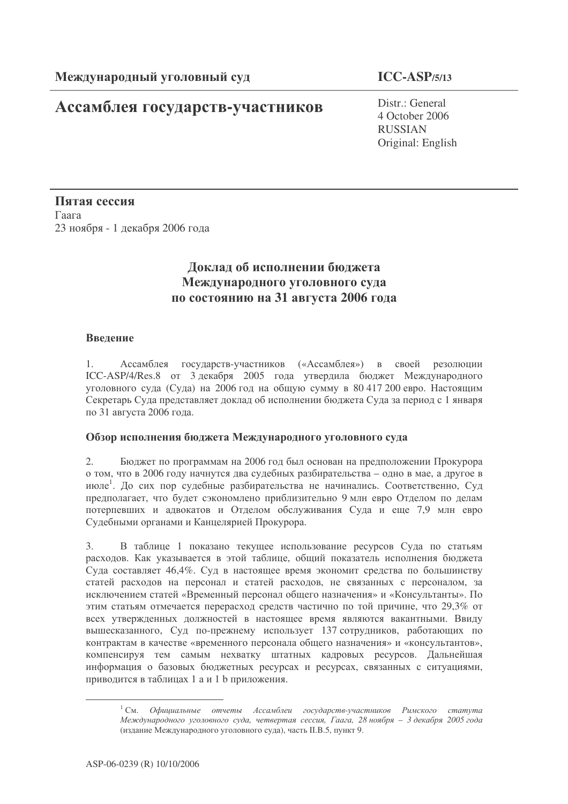# Ассамблея государств-участников

# $ICC-ASP/5/13$

Distr.: General 4 October 2006 **RUSSIAN** Original: English

Пятая сессия Гаага 23 ноября - 1 декабря 2006 года

# Доклад об исполнении бюджета Международного уголовного суда по состоянию на 31 августа 2006 года

## Ввеление

 $1.$ Ассамблея государств-участников («Ассамблея») в своей резолюции ICC-ASP/4/Res.8 от 3 декабря 2005 года утвердила бюджет Международного уголовного суда (Суда) на 2006 год на общую сумму в 80 417 200 евро. Настоящим Секретарь Суда представляет доклад об исполнении бюджета Суда за период с 1 января по 31 августа 2006 года.

### Обзор исполнения бюджета Международного уголовного суда

 $2.$ Бюджет по программам на 2006 год был основан на предположении Прокурора о том, что в 2006 году начнутся два судебных разбирательства - одно в мае, а другое в июле<sup>1</sup>. До сих пор судебные разбирательства не начинались. Соответственно, Суд предполагает, что будет сэкономлено приблизительно 9 млн евро Отделом по делам потерпевших и адвокатов и Отделом обслуживания Суда и еще 7.9 млн евро Судебными органами и Канцелярией Прокурора.

В таблице 1 показано текущее использование ресурсов Суда по статьям  $3.$ расходов. Как указывается в этой таблице, общий показатель исполнения бюджета Суда составляет 46.4%. Суд в настоящее время экономит средства по большинству статей расходов на персонал и статей расходов, не связанных с персоналом, за исключением статей «Временный персонал общего назначения» и «Консультанты». По этим статьям отмечается перерасход средств частично по той причине, что 29,3% от всех утвержденных должностей в настоящее время являются вакантными. Ввиду вышесказанного, Суд по-прежнему использует 137 сотрудников, работающих по контрактам в качестве «временного персонала общего назначения» и «консультантов», компенсируя тем самым нехватку штатных кадровых ресурсов. Дальнейшая информация о базовых бюджетных ресурсах и ресурсах, связанных с ситуациями, приводится в таблицах 1 а и 1 b приложения.

<sup>&</sup>lt;sup>1</sup> См. Официальные отчеты Ассамблеи государств-участников Римского статута Международного уголовного суда, четвертая сессия, Гаага, 28 ноября - 3 декабря 2005 года (издание Международного уголовного суда), часть II.B.5, пункт 9.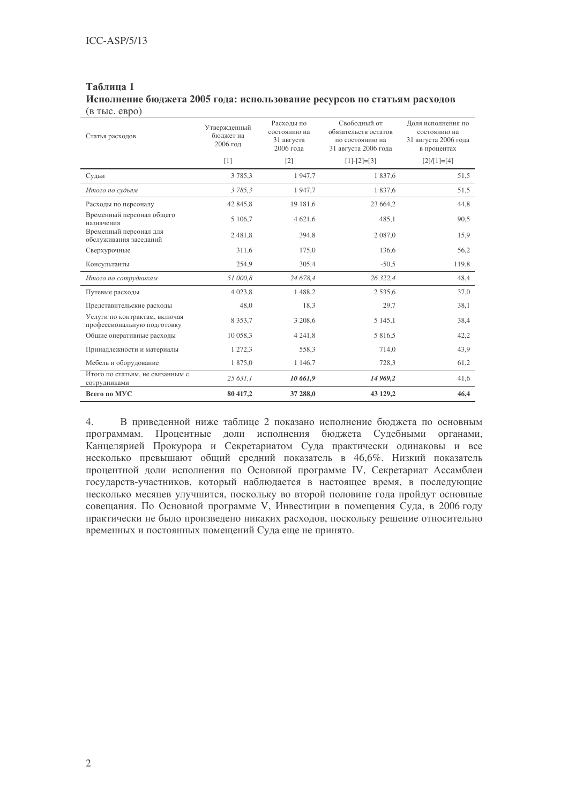## **1** Исполнение бюджета 2005 года: использование ресурсов по статьям расходов

| $(B$ TbIC. $e$ B $po)$                                       |                                       |                                                       |                                                                                 |                                                                           |
|--------------------------------------------------------------|---------------------------------------|-------------------------------------------------------|---------------------------------------------------------------------------------|---------------------------------------------------------------------------|
| Статья расходов                                              | Утвержденный<br>бюлжет на<br>2006 год | Расходы по<br>состоянию на<br>31 августа<br>2006 года | Свободный от<br>обязательств остаток<br>по состоянию на<br>31 августа 2006 года | Доля исполнения по<br>состоянию на<br>31 августа 2006 года<br>в процентах |
|                                                              | [1]                                   | $[2]$                                                 | $[1]-[2]=[3]$                                                                   | $[2]/[1]=[4]$                                                             |
| Судьи                                                        | 3785,3                                | 1947,7                                                | 1837,6                                                                          | 51,5                                                                      |
| Итого по судьям                                              | 3785,3                                | 1947,7                                                | 1837,6                                                                          | 51,5                                                                      |
| Расходы по персоналу                                         | 42 845,8                              | 19 181,6                                              | 23 664,2                                                                        | 44,8                                                                      |
| Временный персонал общего<br>назначения                      | 5 106,7                               | 4 621,6                                               | 485,1                                                                           | 90,5                                                                      |
| Временный персонал для<br>обслуживания заседаний             | 2481,8                                | 394,8                                                 | 2 0 8 7 , 0                                                                     | 15.9                                                                      |
| Сверхурочные                                                 | 311,6                                 | 175,0                                                 | 136,6                                                                           | 56,2                                                                      |
| Консультанты                                                 | 254,9                                 | 305,4                                                 | $-50,5$                                                                         | 119,8                                                                     |
| Итого по сотрудникам                                         | 51 000,8                              | 24 678,4                                              | 26 322,4                                                                        | 48,4                                                                      |
| Путевые расходы                                              | 4 0 23,8                              | 1 488,2                                               | 2 5 3 5 , 6                                                                     | 37,0                                                                      |
| Представительские расходы                                    | 48.0                                  | 18,3                                                  | 29,7                                                                            | 38,1                                                                      |
| Услуги по контрактам, включая<br>профессиональную подготовку | 8 3 5 3 , 7                           | 3 208,6                                               | 5 1 4 5 , 1                                                                     | 38,4                                                                      |
| Общие оперативные расходы                                    | 10 058,3                              | 4 2 4 1 , 8                                           | 5 816,5                                                                         | 42,2                                                                      |
| Принадлежности и материалы                                   | 1 272,3                               | 558,3                                                 | 714,0                                                                           | 43,9                                                                      |
| Мебель и оборудование                                        | 1 875,0                               | 1 1 4 6,7                                             | 728,3                                                                           | 61,2                                                                      |
| Итого по статьям, не связанным с<br>сотрудниками             | 25 631,1                              | 10 661,9                                              | 14 969,2                                                                        | 41,6                                                                      |
| Всего по МУС                                                 | 80 417,2                              | 37 288,0                                              | 43 129,2                                                                        | 46,4                                                                      |

4. В приведенной ниже таблице 2 показано исполнение бюджета по основным программам. Процентные доли исполнения бюджета Судебными органами, Канцелярией Прокурора и Секретариатом Суда практически одинаковы и все несколько превышают общий средний показатель в 46,6%. Низкий показатель процентной доли исполнения по Основной программе IV, Секретариат Ассамблеи государств-участников, который наблюдается в настоящее время, в последующие несколько месяцев улучшится, поскольку во второй половине года пройдут основные совещания. По Основной программе V, Инвестиции в помещения Суда, в 2006 году практически не было произведено никаких расходов, поскольку решение относительно временных и постоянных помещений Суда еще не принято.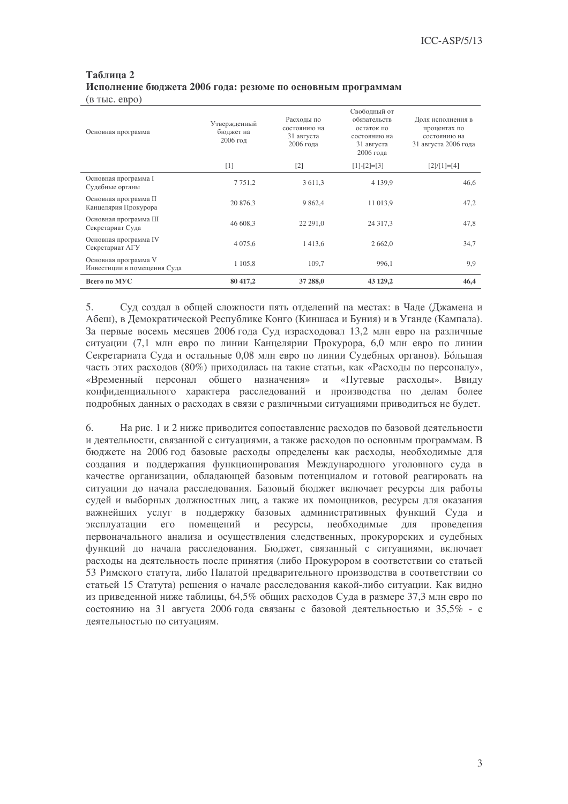### Таблица 2 Исполнение бюджета 2006 года: резюме по основным программам  $(B$  TbIC.  $e$ BDO)

| Основная программа                                  | Утвержденный<br>бюджет на<br>$2006$ год | Расходы по<br>состоянию на<br>31 августа<br>2006 года | Своболный от<br>обязательств<br>остаток по<br>состоянию на<br>31 августа<br>2006 года | Доля исполнения в<br>процентах по<br>состоянию на<br>31 августа 2006 года |
|-----------------------------------------------------|-----------------------------------------|-------------------------------------------------------|---------------------------------------------------------------------------------------|---------------------------------------------------------------------------|
|                                                     | [1]                                     | $\lceil 2 \rceil$                                     | $[1]-[2]=[3]$                                                                         | $[2]/[1]=[4]$                                                             |
| Основная программа I<br>Судебные органы             | 7 7 5 1 , 2                             | 3 611,3                                               | 4 1 3 9 . 9                                                                           | 46,6                                                                      |
| Основная программа II<br>Канцелярия Прокурора       | 20 876.3                                | 9 8 6 2, 4                                            | 11 013,9                                                                              | 47,2                                                                      |
| Основная программа III<br>Секретариат Суда          | 46 608,3                                | 22 29 1,0                                             | 24 317,3                                                                              | 47,8                                                                      |
| Основная программа IV<br>Секретариат АГУ            | 4 0 7 5 , 6                             | 1413,6                                                | 2 6 6 2 , 0                                                                           | 34,7                                                                      |
| Основная программа V<br>Инвестиции в помещения Суда | 1 1 0 5 , 8                             | 109,7                                                 | 996,1                                                                                 | 9,9                                                                       |
| Всего по МУС                                        | 80 417,2                                | 37 288,0                                              | 43 129,2                                                                              | 46,4                                                                      |

 $5<sub>1</sub>$ Суд создал в общей сложности пять отделений на местах: в Чаде (Джамена и Абеш), в Демократической Республике Конго (Киншаса и Буния) и в Уганде (Кампала). За первые восемь месяцев 2006 года Суд израсходовал 13.2 млн евро на различные ситуации (7,1 млн евро по линии Канцелярии Прокурора, 6,0 млн евро по линии Секретариата Суда и остальные 0,08 млн евро по линии Судебных органов). Большая часть этих расходов (80%) приходилась на такие статьи, как «Расходы по персоналу», «Временный персонал общего назначения» и «Путевые расходы». Ввилу конфиденциального характера расследований и производства по делам более подробных данных о расходах в связи с различными ситуациями приводиться не будет.

На рис. 1 и 2 ниже приводится сопоставление расходов по базовой деятельности 6. и деятельности, связанной с ситуациями, а также расходов по основным программам. В бюджете на 2006 год базовые расходы определены как расходы, необходимые для создания и поддержания функционирования Международного уголовного суда в качестве организации, обладающей базовым потенциалом и готовой реагировать на ситуации до начала расследования. Базовый бюджет включает ресурсы для работы судей и выборных должностных лиц, а также их помощников, ресурсы для оказания важнейших услуг в поддержку базовых административных функций Суда и эксплуатации его помещений и ресурсы, необходимые для проведения первоначального анализа и осуществления следственных, прокурорских и судебных функций до начала расследования. Бюджет, связанный с ситуациями, включает расходы на деятельность после принятия (либо Прокурором в соответствии со статьей 53 Римского статута, либо Палатой предварительного производства в соответствии со статьей 15 Статута) решения о начале расследования какой-либо ситуации. Как видно из приведенной ниже таблицы, 64,5% общих расходов Суда в размере 37,3 млн евро по состоянию на 31 августа 2006 года связаны с базовой деятельностью и 35,5% - с деятельностью по ситуациям.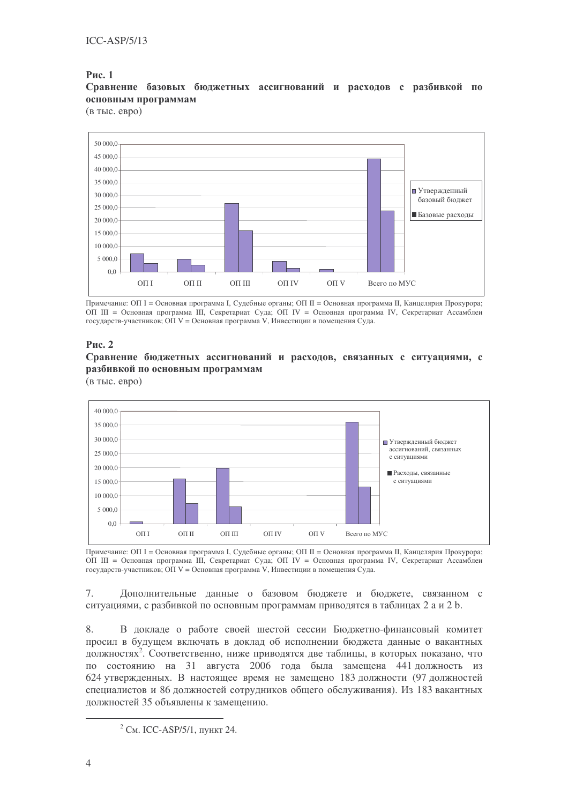### **Рис. 1**

Сравнение базовых бюджетных ассигнований и расходов с разбивкой по основным программам

(в тыс. евро)



Примечание: ОП I = Основная программа I, Судебные органы; ОП II = Основная программа II, Канцелярия Прокурора; ОП III = Основная программа III, Секретариат Суда; ОП IV = Основная программа IV, Секретариат Ассамблеи государств-участников; ОП V = Основная программа V, Инвестиции в помещения Суда.

### **Рис. 2**

Сравнение бюджетных ассигнований и расходов, связанных с ситуациями, с разбивкой по основным программам

(в тыс. евро)



Примечание: ОП I = Основная программа I, Судебные органы; ОП II = Основная программа II, Канцелярия Прокурора; ОП III = Основная программа III, Секретариат Суда; ОП IV = Основная программа IV, Секретариат Ассамблеи государств-участников; ОП V = Основная программа V, Инвестиции в помещения Суда.

7. Дополнительные данные о базовом бюджете и бюджете, связанном с ситуациями, с разбивкой по основным программам приводятся в таблицах 2 а и 2 b.

8. В докладе о работе своей шестой сессии Бюджетно-финансовый комитет просил в будущем включать в доклад об исполнении бюджета данные о вакантных должностях<sup>2</sup>. Соответственно, ниже приводятся две таблицы, в которых показано, что по состоянию на 31 августа 2006 года была замещена 441 должность из 624 утвержденных. В настоящее время не замещено 183 должности (97 должностей специалистов и 86 должностей сотрудников общего обслуживания). Из 183 вакантных должностей 35 объявлены к замещению.

<sup>&</sup>lt;sup>2</sup> См. ICC-ASP/5/1, пункт 24.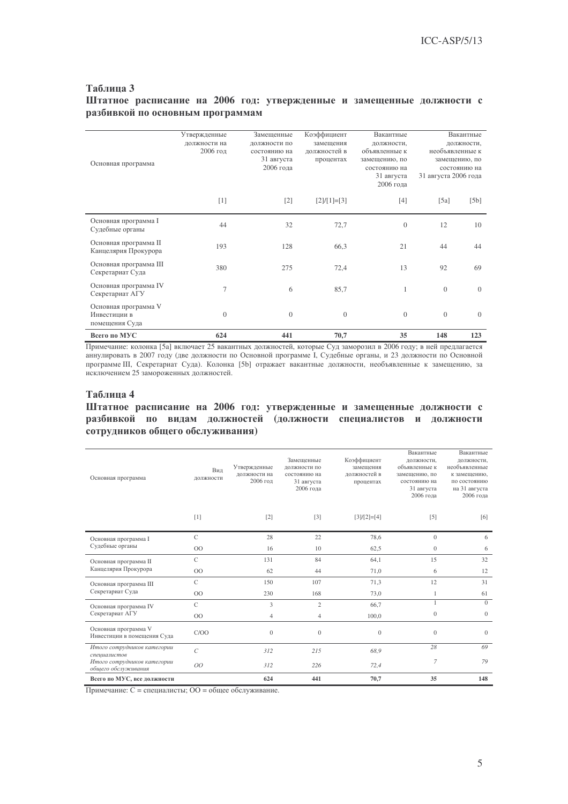### **3** Штатное расписание на 2006 год: утвержденные и замещенные должности с разбивкой по основным программам

| Основная программа                                     | Утвержденные<br>должности на<br>2006 год | Замещенные<br>должности по<br>состоянию на<br>31 августа<br>2006 года | Коэффициент<br>замещения<br>должностей в<br>процентах | Вакантные<br>должности,<br>объявленные к<br>замещению, по<br>состоянию на<br>31 августа<br>2006 года | 31 августа 2006 года | Вакантные<br>должности,<br>необъявленные к<br>замещению, по<br>состоянию на |
|--------------------------------------------------------|------------------------------------------|-----------------------------------------------------------------------|-------------------------------------------------------|------------------------------------------------------------------------------------------------------|----------------------|-----------------------------------------------------------------------------|
|                                                        | $[1]$                                    | $[2]$                                                                 | $[2]/[1]=[3]$                                         | $[4]$                                                                                                | [5a]                 | [5b]                                                                        |
| Основная программа I<br>Судебные органы                | 44                                       | 32                                                                    | 72,7                                                  | $\theta$                                                                                             | 12                   | 10                                                                          |
| Основная программа II<br>Канцелярия Прокурора          | 193                                      | 128                                                                   | 66,3                                                  | 21                                                                                                   | 44                   | 44                                                                          |
| Основная программа III<br>Секретариат Суда             | 380                                      | 275                                                                   | 72,4                                                  | 13                                                                                                   | 92                   | 69                                                                          |
| Основная программа IV<br>Секретариат АГУ               | $\overline{7}$                           | 6                                                                     | 85,7                                                  | $\mathbf{1}$                                                                                         | $\theta$             | $\Omega$                                                                    |
| Основная программа V<br>Инвестиции в<br>помещения Суда | $\overline{0}$                           | $\overline{0}$                                                        | $\overline{0}$                                        | $\Omega$                                                                                             | $\Omega$             | $\Omega$                                                                    |
| Всего по МУС                                           | 624                                      | 441                                                                   | 70,7                                                  | 35                                                                                                   | 148                  | 123                                                                         |

Примечание: колонка [5а] включает 25 вакантных должностей, которые Суд заморозил в 2006 году; в ней предлагается аннулировать в 2007 году (две должности по Основной программе I, Судебные органы, и 23 должности по Основной программе III, Секретариат Суда). Колонка [5b] отражает вакантные должности, необъявленные к замещению, за исключением 25 замороженных должностей.

#### **4**

Штатное расписание на 2006 год: утвержденные и замещенные должности с разбивкой по видам должностей (должности специалистов и должности сотрудников общего обслуживания)

| Основная программа                                  | Вил<br>должности  | Утвержденные<br>должности на<br>2006 год | Замешенные<br>должности по<br>состоянию на<br>31 августа<br>2006 года | Коэффициент<br>замешения<br>лолжностей в<br>процентах | Вакантные<br>должности,<br>объявленные к<br>замещению, по<br>состоянию на<br>31 августа<br>2006 года | Вакантные<br>должности,<br>необъявленные<br>к замещению,<br>по состоянию<br>на 31 августа<br>2006 года |
|-----------------------------------------------------|-------------------|------------------------------------------|-----------------------------------------------------------------------|-------------------------------------------------------|------------------------------------------------------------------------------------------------------|--------------------------------------------------------------------------------------------------------|
|                                                     | $[1]$             | $[2]$                                    | $[3]$                                                                 | $[3]/[2]=[4]$                                         | $[5]$                                                                                                | [6]                                                                                                    |
| Основная программа I                                | $\mathbf C$       | 28                                       | 22                                                                    | 78,6                                                  | $\mathbf{0}$                                                                                         | 6                                                                                                      |
| Судебные органы                                     | O <sub>O</sub>    | 16                                       | 10                                                                    | 62,5                                                  | $\mathbf{0}$                                                                                         | 6                                                                                                      |
| Основная программа II                               | $\mathcal{C}$     | 131                                      | 84                                                                    | 64,1                                                  | 15                                                                                                   | 32                                                                                                     |
| Канцелярия Прокурора                                | OO                | 62                                       | 44                                                                    | 71,0                                                  | 6                                                                                                    | 12                                                                                                     |
| Основная программа III                              | $\mathbf C$       | 150                                      | 107                                                                   | 71,3                                                  | 12                                                                                                   | 31                                                                                                     |
| Секретариат Суда                                    | O <sub>O</sub>    | 230                                      | 168                                                                   | 73,0                                                  | 1                                                                                                    | 61                                                                                                     |
| Основная программа IV                               | $\mathcal{C}$     | 3                                        | $\overline{c}$                                                        | 66,7                                                  | 1                                                                                                    | $\Omega$                                                                                               |
| Секретариат АГУ                                     | O <sub>O</sub>    | $\overline{4}$                           | $\overline{4}$                                                        | 100,0                                                 | $\mathbf{0}$                                                                                         | $\mathbf{0}$                                                                                           |
| Основная программа V<br>Инвестиции в помещения Суда | C/OO              | $\overline{0}$                           | $\mathbf{0}$                                                          | $\mathbf{0}$                                          | $\mathbf{0}$                                                                                         | $\mathbf{0}$                                                                                           |
| Итого сотрудников категории<br>специалистов         | $\mathcal{C}_{0}$ | 312                                      | 215                                                                   | 68.9                                                  | 28                                                                                                   | 69                                                                                                     |
| Итого сотрудников категории<br>обшего обслуживания  | 00                | 312                                      | 226                                                                   | 72,4                                                  | $\overline{7}$                                                                                       | 79                                                                                                     |
| Всего по МУС, все должности                         |                   | 624                                      | 441                                                                   | 70,7                                                  | 35                                                                                                   | 148                                                                                                    |

Примечание: С = специалисты; ОО = общее обслуживание.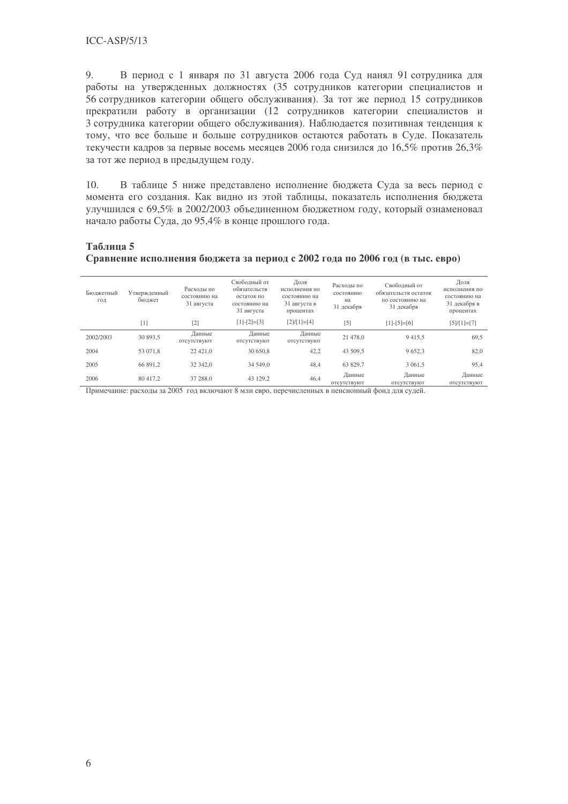9. В период с 1 января по 31 августа 2006 года Суд нанял 91 сотрудника для работы на утвержденных должностях (35 сотрудников категории специалистов и 56 сотрудников категории общего обслуживания). За тот же период 15 сотрудников прекратили работу в организации (12 сотрудников категории специалистов и 3 сотрудника категории общего обслуживания). Наблюдается позитивная тенденция к тому, что все больше и больше сотрудников остаются работать в Суде. Показатель текучести кадров за первые восемь месяцев 2006 года снизился до 16,5% против 26,3% за тот же период в предыдущем году.

10. В таблице 5 ниже представлено исполнение бюджета Суда за весь период с момента его создания. Как видно из этой таблицы, показатель исполнения бюджета улучшился с 69,5% в 2002/2003 объединенном бюджетном году, который ознаменовал начало работы Суда, до 95,4% в конце прошлого года.

### **5**

### Сравнение исполнения бюджета за период с 2002 года по 2006 год (в тыс. евро)

| Бюджетный<br>ГОД | Утвержденный<br>бюлжет | Расходы по<br>состоянию на<br>31 августа | Своболный от<br>обязательств<br>остаток по<br>состоянию на<br>31 августа | Доля<br>исполнения по<br>состоянию на<br>31 августа в<br>процентах | Расходы по<br>состоянию<br>на<br>31 декабря | Своболный от<br>обязательств остаток<br>по состоянию на<br>31 декабря | Доля<br>исполнения по<br>состоянию на<br>31 декабря в<br>процентах |
|------------------|------------------------|------------------------------------------|--------------------------------------------------------------------------|--------------------------------------------------------------------|---------------------------------------------|-----------------------------------------------------------------------|--------------------------------------------------------------------|
|                  | $[1]$                  | $[2]$                                    | $[1]-[2]=[3]$                                                            | $[2]/[1]=[4]$                                                      | $[5]$                                       | $[1]-[5]=[6]$                                                         | $[5]/[1]=[7]$                                                      |
| 2002/2003        | 30 893,5               | Данные<br>отсутствуют                    | Данные<br>отсутствуют                                                    | Данные<br>отсутствуют                                              | 21 478.0                                    | 9415.5                                                                | 69,5                                                               |
| 2004             | 53 071.8               | 22 4 21.0                                | 30 650.8                                                                 | 42,2                                                               | 43 509.5                                    | 9652.3                                                                | 82,0                                                               |
| 2005             | 66 891.2               | 32 342.0                                 | 34 549.0                                                                 | 48,4                                                               | 63 829.7                                    | 3 0 6 1 .5                                                            | 95,4                                                               |
| 2006             | 80 417.2               | 37 288.0                                 | 43 129.2                                                                 | 46,4                                                               | Данные<br>отсутствуют                       | Данные<br>ОТСУТСТВУЮТ                                                 | Данные<br>отсутствуют                                              |

Примечание: расходы за 2005 год включают 8 млн евро, перечисленных в пенсионный фонд для судей.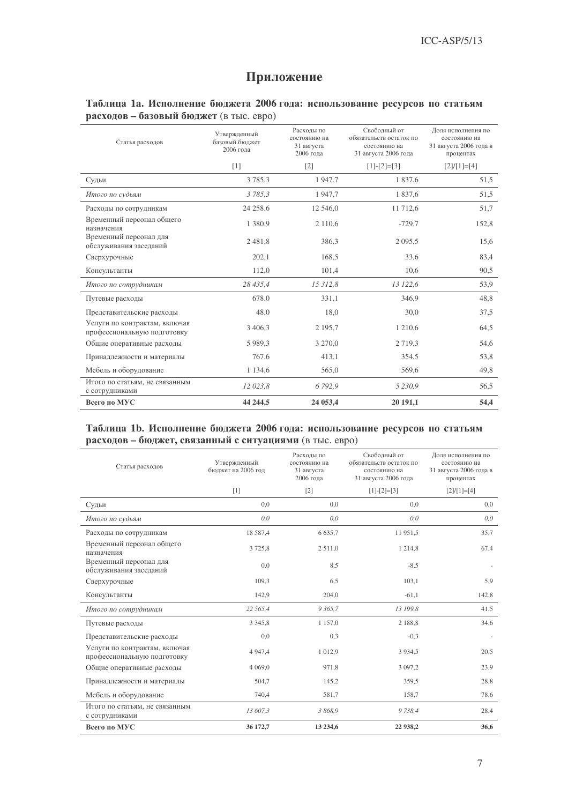## Приложение

### Таблица 1а. Исполнение бюджета 2006 года: использование ресурсов по статьям расходов - базовый бюджет (в тыс. евро)

| Статья расходов                                              | Утвержденный<br>базовый бюджет<br>2006 года | Расходы по<br>состоянию на<br>31 августа<br>2006 гола | Своболный от<br>обязательств остаток по<br>состоянию на<br>31 августа 2006 года | Доля исполнения по<br>состоянию на<br>31 августа 2006 года в<br>процентах |
|--------------------------------------------------------------|---------------------------------------------|-------------------------------------------------------|---------------------------------------------------------------------------------|---------------------------------------------------------------------------|
|                                                              | $[1]$                                       | $\lceil 2 \rceil$                                     | $[1]-[2]=[3]$                                                                   | $[2]/[1]=[4]$                                                             |
| Судьи                                                        | 3785,3                                      | 1947,7                                                | 1837,6                                                                          | 51,5                                                                      |
| Итого по судьям                                              | 3785,3                                      | 1947.7                                                | 1837.6                                                                          | 51,5                                                                      |
| Расходы по сотрудникам                                       | 24 258,6                                    | 12 546,0                                              | 11 712,6                                                                        | 51,7                                                                      |
| Временный персонал общего<br>назначения                      | 1 3 8 0 . 9                                 | 2 1 1 0 .6                                            | $-729,7$                                                                        | 152,8                                                                     |
| Временный персонал для<br>обслуживания заседаний             | 2481.8                                      | 386,3                                                 | 2 0 9 5 , 5                                                                     | 15,6                                                                      |
| Сверхурочные                                                 | 202,1                                       | 168,5                                                 | 33,6                                                                            | 83,4                                                                      |
| Консультанты                                                 | 112,0                                       | 101,4                                                 | 10,6                                                                            | 90,5                                                                      |
| Итого по сотрудникам                                         | 28 435,4                                    | 15 312,8                                              | 13 122,6                                                                        | 53,9                                                                      |
| Путевые расходы                                              | 678,0                                       | 331,1                                                 | 346,9                                                                           | 48,8                                                                      |
| Представительские расходы                                    | 48,0                                        | 18,0                                                  | 30,0                                                                            | 37,5                                                                      |
| Услуги по контрактам, включая<br>профессиональную подготовку | 3 4 0 6 , 3                                 | 2 1 9 5 .7                                            | 1 2 1 0 .6                                                                      | 64,5                                                                      |
| Общие оперативные расходы                                    | 5 9 8 9 3                                   | 3 270,0                                               | 2 7 1 9 . 3                                                                     | 54,6                                                                      |
| Принадлежности и материалы                                   | 767,6                                       | 413,1                                                 | 354,5                                                                           | 53,8                                                                      |
| Мебель и оборудование                                        | 1 1 3 4 , 6                                 | 565,0                                                 | 569,6                                                                           | 49,8                                                                      |
| Итого по статьям, не связанным<br>с сотрудниками             | 12 023,8                                    | 6792,9                                                | 5 2 3 0 , 9                                                                     | 56,5                                                                      |
| Всего по МУС                                                 | 44 244,5                                    | 24 053,4                                              | 20 191,1                                                                        | 54,4                                                                      |

### Таблица 1b. Исполнение бюджета 2006 года: использование ресурсов по статьям расходов - бюджет, связанный с ситуациями (в тыс. евро)

| Статья расходов                                              | Утвержденный<br>бюджет на 2006 год | Расхолы по<br>состоянию на<br>31 августа<br>2006 года | Своболный от<br>обязательств остаток по<br>состоянию на<br>31 августа 2006 года | Доля исполнения по<br>состоянию на<br>31 августа 2006 года в<br>процентах |
|--------------------------------------------------------------|------------------------------------|-------------------------------------------------------|---------------------------------------------------------------------------------|---------------------------------------------------------------------------|
|                                                              | $[1]$                              | $[2]$                                                 | $[1]$ - $[2]$ = $[3]$                                                           | $[2]/[1]=[4]$                                                             |
| Судьи                                                        | 0,0                                | 0,0                                                   | 0.0                                                                             | 0,0                                                                       |
| Итого по судьям                                              | 0,0                                | 0,0                                                   | 0,0                                                                             | 0,0                                                                       |
| Расходы по сотрудникам                                       | 18 587,4                           | 6 6 3 5 , 7                                           | 11 951,5                                                                        | 35,7                                                                      |
| Временный персонал общего<br>назначения                      | 3 7 2 5, 8                         | 2 5 1 1 , 0                                           | 1 2 1 4,8                                                                       | 67,4                                                                      |
| Временный персонал для<br>обслуживания заседаний             | 0,0                                | 8,5                                                   | $-8,5$                                                                          |                                                                           |
| Сверхурочные                                                 | 109,3                              | 6,5                                                   | 103,1                                                                           | 5,9                                                                       |
| Консультанты                                                 | 142,9                              | 204,0                                                 | $-61,1$                                                                         | 142,8                                                                     |
| Итого по сотрудникам                                         | 22 565,4                           | 9 3 65,7                                              | 13 199,8                                                                        | 41,5                                                                      |
| Путевые расходы                                              | 3 3 4 5 , 8                        | 1 1 5 7 , 0                                           | 2 1 8 8 , 8                                                                     | 34,6                                                                      |
| Представительские расходы                                    | 0,0                                | 0,3                                                   | $-0,3$                                                                          |                                                                           |
| Услуги по контрактам, включая<br>профессиональную подготовку | 4 9 4 7 , 4                        | 1 0 1 2,9                                             | 3 9 3 4 5                                                                       | 20,5                                                                      |
| Общие оперативные расходы                                    | 4 0 6 9 , 0                        | 971,8                                                 | 3 0 9 7, 2                                                                      | 23,9                                                                      |
| Принадлежности и материалы                                   | 504,7                              | 145,2                                                 | 359,5                                                                           | 28,8                                                                      |
| Мебель и оборудование                                        | 740,4                              | 581,7                                                 | 158,7                                                                           | 78,6                                                                      |
| Итого по статьям, не связанным<br>с сотрудниками             | 13 607,3                           | 3 868.9                                               | 9 7 38,4                                                                        | 28.4                                                                      |
| Всего по МУС                                                 | 36 172,7                           | 13 234,6                                              | 22 938,2                                                                        | 36,6                                                                      |